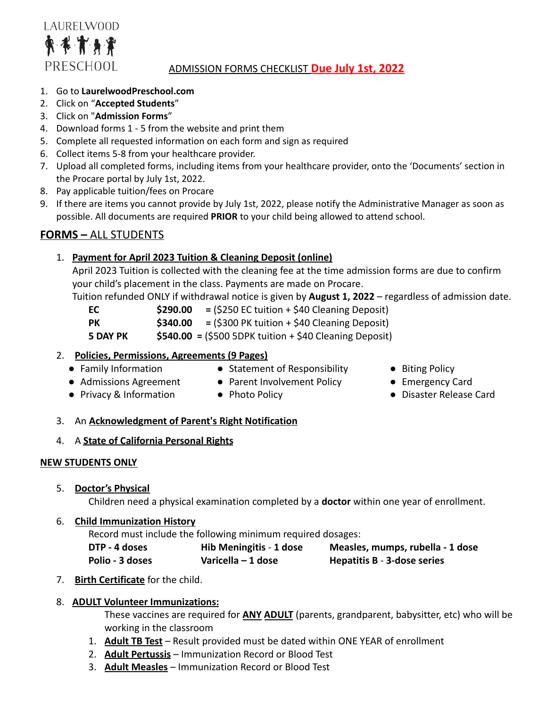

#### ADMISSION FORMS CHECKLIST **Due July 1st, 2022**

- 1. Go to **LaurelwoodPreschool.com**
- 2. Click on "**Accepted Students**"
- 3. Click on "**Admission Forms**"
- 4. Download forms 1 5 from the website and print them
- 5. Complete all requested information on each form and sign as required
- 6. Collect items 5-8 from your healthcare provider.
- 7. Upload all completed forms, including items from your healthcare provider, onto the 'Documents' section in the Procare portal by July 1st, 2022.
- 8. Pay applicable tuition/fees on Procare
- 9. If there are items you cannot provide by July 1st, 2022, please notify the Administrative Manager as soon as possible. All documents are required **PRIOR** to your child being allowed to attend school.

# **FORMS –** ALL STUDENTS

## 1. **Payment for April 2023 Tuition & Cleaning Deposit (online)**

April 2023 Tuition is collected with the cleaning fee at the time admission forms are due to confirm your child's placement in the class. Payments are made on Procare.

Tuition refunded ONLY if withdrawal notice is given by **August 1, 2022** – regardless of admission date.

- 
- **EC \$290.00 =** (\$250 EC tuition + \$40 Cleaning Deposit)
- **PK \$340.00 =** (\$300 PK tuition + \$40 Cleaning Deposit)

**5 DAY PK \$540.00 =** (\$500 5DPK tuition + \$40 Cleaning Deposit)

## 2. **Policies, Permissions, Agreements (9 Pages)**

- Family Information
- Statement of Responsibility

● Parent Involvement Policy

- Biting Policy
- Emergency Card
- Disaster Release Card
- Admissions Agreement ● Privacy & Information
- Photo Policy
- 3. An **Acknowledgment of Parent's Right Notification**
- 4. A **State of California Personal Rights**

#### **NEW STUDENTS ONLY**

5. **Doctor's Physical**

Children need a physical examination completed by a **doctor** within one year of enrollment.

#### 6. **Child Immunization History**

Record must include the following minimum required dosages:

- **DTP 4 doses Hib Meningitis 1 dose Measles, mumps, rubella 1 dose Polio - 3 doses Varicella – 1 dose Hepatitis B** - **3-dose series**
- 7. **Birth Certificate** for the child.

## 8. **ADULT Volunteer Immunizations:**

These vaccines are required for **ANY ADULT** (parents, grandparent, babysitter, etc) who will be working in the classroom

- 1. **Adult TB Test** Result provided must be dated within ONE YEAR of enrollment
- 2. **Adult Pertussis** Immunization Record or Blood Test
- 3. **Adult Measles** Immunization Record or Blood Test